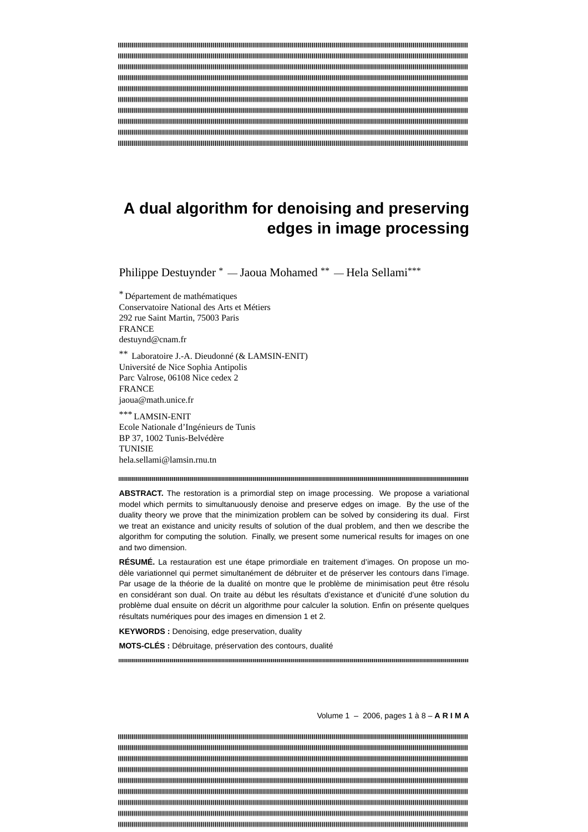# **A dual algorithm for denoising and preserving edges in image processing**

Philippe Destuynder \* — Jaoua Mohamed \*\* — Hela Sellami\*\*\*

\* Département de mathématiques Conservatoire National des Arts et Métiers 292 rue Saint Martin, 75003 Paris FRANCE destuynd@cnam.fr

\*\* Laboratoire J.-A. Dieudonné (& LAMSIN-ENIT) Université de Nice Sophia Antipolis Parc Valrose, 06108 Nice cedex 2 FRANCE jaoua@math.unice.fr

\*\*\* LAMSIN-ENIT Ecole Nationale d'Ingénieurs de Tunis BP 37, 1002 Tunis-Belvédère TUNISIE hela.sellami@lamsin.rnu.tn

#### 

ABSTRACT. The restoration is a primordial step on image processing. We propose a variational model which permits to simultanuously denoise and preserve edges on image. By the use of the duality theory we prove that the minimization problem can be solved by considering its dual. First we treat an existance and unicity results of solution of the dual problem, and then we describe the algorithm for computing the solution. Finally, we present some numerical results for images on one and two dimension.

**RÉSUMÉ.** La restauration est une étape primordiale en traitement d'images. On propose un modèle variationnel qui permet simultanément de débruiter et de préserver les contours dans l'image. Par usage de la théorie de la dualité on montre que le problème de minimisation peut être résolu en considérant son dual. On traite au début les résultats d'existance et d'unicité d'une solution du problème dual ensuite on décrit un algorithme pour calculer la solution. Enfin on présente quelques résultats numériques pour des images en dimension 1 et 2.

**KEYWORDS :** Denoising, edge preservation, duality

**MOTS-CLÉS :** Débruitage, préservation des contours, dualité

Volume 1 – 2006, pages 1 à 8 – **A R I M A**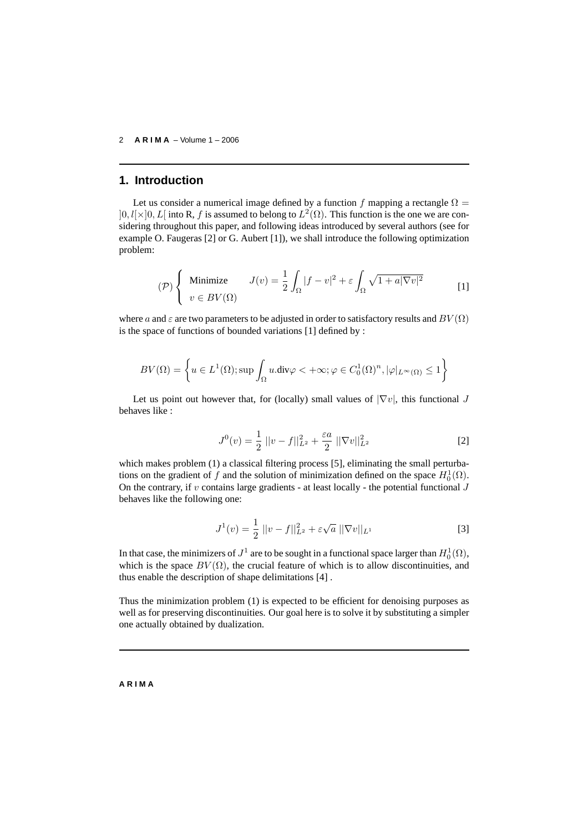#### 2 **A R I M A** – Volume 1 – 2006

### **1. Introduction**

Let us consider a numerical image defined by a function f mapping a rectangle  $\Omega =$  $]0, l[\times]0, L[$  into R, f is assumed to belong to  $L^2(\Omega)$ . This function is the one we are considering throughout this paper, and following ideas introduced by several authors (see for example O. Faugeras [2] or G. Aubert [1]), we shall introduce the following optimization problem:

$$
\mathcal{P}\left\{\begin{array}{ll}\text{Minimize} & J(v) = \frac{1}{2} \int_{\Omega} |f - v|^2 + \varepsilon \int_{\Omega} \sqrt{1 + a|\nabla v|^2} \\ v \in BV(\Omega) \end{array}\right. \tag{1}
$$

where a and  $\varepsilon$  are two parameters to be adjusted in order to satisfactory results and  $BV(\Omega)$ is the space of functions of bounded variations [1] defined by :

$$
BV(\Omega) = \left\{ u \in L^1(\Omega); \sup \int_{\Omega} u \cdot \text{div}\varphi < +\infty; \varphi \in C_0^1(\Omega)^n, |\varphi|_{L^{\infty}(\Omega)} \leq 1 \right\}
$$

Let us point out however that, for (locally) small values of  $|\nabla v|$ , this functional J behaves like :

$$
J^{0}(v) = \frac{1}{2} ||v - f||_{L^{2}}^{2} + \frac{\varepsilon a}{2} ||\nabla v||_{L^{2}}^{2}
$$
 [2]

which makes problem (1) a classical filtering process [5], eliminating the small perturbations on the gradient of f and the solution of minimization defined on the space  $H_0^1(\Omega)$ . On the contrary, if v contains large gradients - at least locally - the potential functional  $J$ behaves like the following one:

$$
J^{1}(v) = \frac{1}{2} ||v - f||_{L^{2}}^{2} + \varepsilon \sqrt{a} ||\nabla v||_{L^{1}}
$$
 [3]

In that case, the minimizers of  $J^1$  are to be sought in a functional space larger than  $H_0^1(\Omega)$ , which is the space  $BV(\Omega)$ , the crucial feature of which is to allow discontinuities, and thus enable the description of shape delimitations [4] .

Thus the minimization problem (1) is expected to be efficient for denoising purposes as well as for preserving discontinuities. Our goal here is to solve it by substituting a simpler one actually obtained by dualization.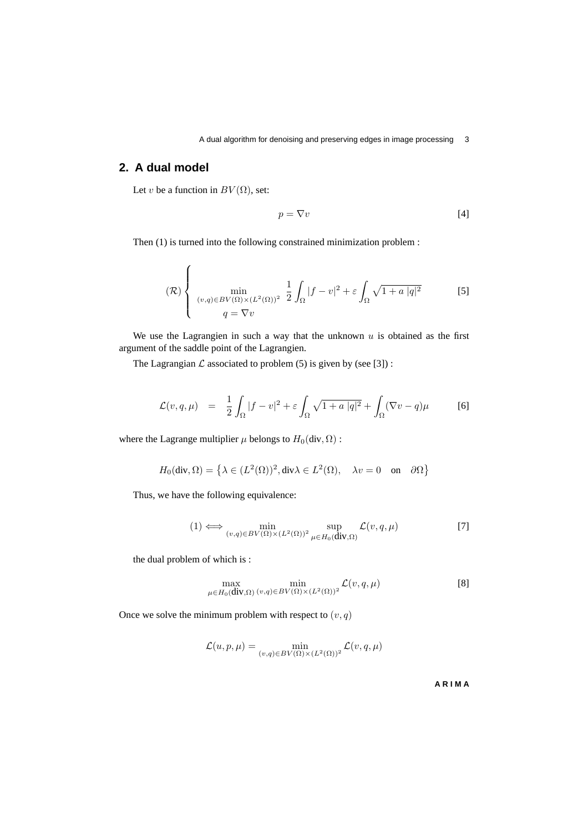# **2. A dual model**

Let v be a function in  $BV(\Omega)$ , set:

$$
p = \nabla v \tag{4}
$$

Then (1) is turned into the following constrained minimization problem :

$$
(\mathcal{R})\left\{\n\begin{array}{l}\n\min_{(v,q)\in BV(\Omega)\times(L^2(\Omega))^2} \frac{1}{2}\int_{\Omega}|f-v|^2+\varepsilon\int_{\Omega}\sqrt{1+a|q|^2} \qquad \qquad [5] \\
q=\nabla v\n\end{array}\n\right.
$$

We use the Lagrangien in such a way that the unknown  $u$  is obtained as the first argument of the saddle point of the Lagrangien.

The Lagrangian  $\mathcal L$  associated to problem (5) is given by (see [3]):

$$
\mathcal{L}(v,q,\mu) = \frac{1}{2} \int_{\Omega} |f-v|^2 + \varepsilon \int_{\Omega} \sqrt{1+a|q|^2} + \int_{\Omega} (\nabla v - q)\mu \tag{6}
$$

where the Lagrange multiplier  $\mu$  belongs to  $H_0(\text{div}, \Omega)$ :

$$
H_0(\text{div}, \Omega) = \left\{ \lambda \in (L^2(\Omega))^2, \text{div}\lambda \in L^2(\Omega), \quad \lambda v = 0 \quad \text{on} \quad \partial\Omega \right\}
$$

Thus, we have the following equivalence:

$$
(1) \iff \min_{(v,q)\in BV(\Omega)\times (L^2(\Omega))^2} \sup_{\mu\in H_0(\mathbf{div},\Omega)} \mathcal{L}(v,q,\mu) \tag{7}
$$

the dual problem of which is :

$$
\max_{\mu \in H_0(\text{div}, \Omega)} \min_{(v, q) \in BV(\Omega) \times (L^2(\Omega))^2} \mathcal{L}(v, q, \mu) \tag{8}
$$

Once we solve the minimum problem with respect to  $(v, q)$ 

$$
\mathcal{L}(u, p, \mu) = \min_{(v, q) \in BV(\Omega) \times (L^2(\Omega))^2} \mathcal{L}(v, q, \mu)
$$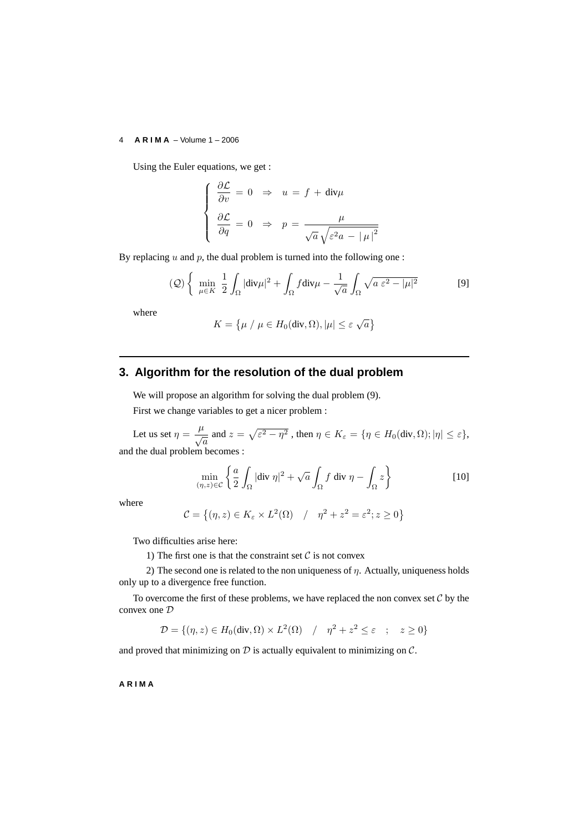#### 4 **A R I M A** – Volume 1 – 2006

Using the Euler equations, we get :

$$
\begin{cases}\n\frac{\partial \mathcal{L}}{\partial v} = 0 \Rightarrow u = f + \text{div}\mu \\
\frac{\partial \mathcal{L}}{\partial q} = 0 \Rightarrow p = \frac{\mu}{\sqrt{a}\sqrt{\varepsilon^2 a - |\mu|^2}}\n\end{cases}
$$

By replacing  $u$  and  $p$ , the dual problem is turned into the following one :

$$
(\mathcal{Q})\left\{\n\min_{\mu\in K}\n\frac{1}{2}\n\int_{\Omega}|\text{div}\mu|^2 + \int_{\Omega}f\text{div}\mu - \frac{1}{\sqrt{a}}\n\int_{\Omega}\sqrt{a\,\varepsilon^2 - |\mu|^2}\n\right.\n\tag{9}
$$

where

$$
K = \{ \mu / \mu \in H_0(\text{div}, \Omega), |\mu| \le \varepsilon \sqrt{a} \}
$$

# **3. Algorithm for the resolution of the dual problem**

We will propose an algorithm for solving the dual problem (9). First we change variables to get a nicer problem :

Let us set  $\eta = \frac{\mu}{4}$  $\frac{\mu}{\sqrt{a}}$  and  $z = \sqrt{\varepsilon^2 - \eta^2}$ , then  $\eta \in K_{\varepsilon} = \{\eta \in H_0(\text{div}, \Omega); |\eta| \leq \varepsilon\},\$ and the dual problem becomes :

$$
\min_{(\eta,z)\in\mathcal{C}}\left\{\frac{a}{2}\int_{\Omega}|\text{div}\,\eta|^2+\sqrt{a}\int_{\Omega}f\text{ div}\,\eta-\int_{\Omega}z\right\}\qquad[10]
$$

where

$$
\mathcal{C} = \left\{ (\eta, z) \in K_{\varepsilon} \times L^2(\Omega) \quad / \quad \eta^2 + z^2 = \varepsilon^2; z \ge 0 \right\}
$$

Two difficulties arise here:

1) The first one is that the constraint set  $C$  is not convex

2) The second one is related to the non uniqueness of  $\eta$ . Actually, uniqueness holds only up to a divergence free function.

To overcome the first of these problems, we have replaced the non convex set  $C$  by the convex one D

$$
\mathcal{D} = \{ (\eta, z) \in H_0(\text{div}, \Omega) \times L^2(\Omega) \mid / \eta^2 + z^2 \le \varepsilon \quad ; \quad z \ge 0 \}
$$

and proved that minimizing on  $D$  is actually equivalent to minimizing on  $C$ .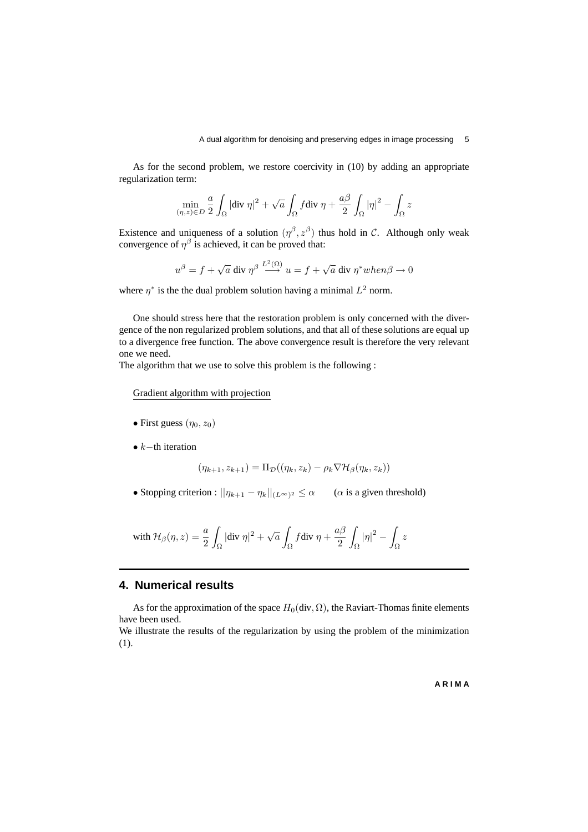As for the second problem, we restore coercivity in (10) by adding an appropriate regularization term:

$$
\min_{(\eta,z)\in D} \frac{a}{2}\int_{\Omega} |\text{div }\eta|^2 + \sqrt{a}\int_{\Omega} f \text{div }\eta + \frac{a\beta}{2}\int_{\Omega} |\eta|^2 - \int_{\Omega} z
$$

Existence and uniqueness of a solution  $(\eta^{\beta}, z^{\beta})$  thus hold in C. Although only weak convergence of  $\eta^{\beta}$  is achieved, it can be proved that:

$$
u^{\beta} = f + \sqrt{a} \text{ div } \eta^{\beta} \stackrel{L^2(\Omega)}{\longrightarrow} u = f + \sqrt{a} \text{ div } \eta^* when \beta \to 0
$$

where  $\eta^*$  is the the dual problem solution having a minimal  $L^2$  norm.

One should stress here that the restoration problem is only concerned with the divergence of the non regularized problem solutions, and that all of these solutions are equal up to a divergence free function. The above convergence result is therefore the very relevant one we need.

The algorithm that we use to solve this problem is the following :

Gradient algorithm with projection

- First guess  $(\eta_0, z_0)$
- $k$ −th iteration

$$
(\eta_{k+1}, z_{k+1}) = \Pi_{\mathcal{D}}((\eta_k, z_k) - \rho_k \nabla \mathcal{H}_{\beta}(\eta_k, z_k))
$$

• Stopping criterion :  $||\eta_{k+1} - \eta_k||_{(L^{\infty})^2} \le \alpha$  ( $\alpha$  is a given threshold)

with 
$$
\mathcal{H}_{\beta}(\eta, z) = \frac{a}{2} \int_{\Omega} |\text{div } \eta|^2 + \sqrt{a} \int_{\Omega} f \text{div } \eta + \frac{a\beta}{2} \int_{\Omega} |\eta|^2 - \int_{\Omega} z
$$

# **4. Numerical results**

As for the approximation of the space  $H_0(\text{div}, \Omega)$ , the Raviart-Thomas finite elements have been used.

We illustrate the results of the regularization by using the problem of the minimization (1).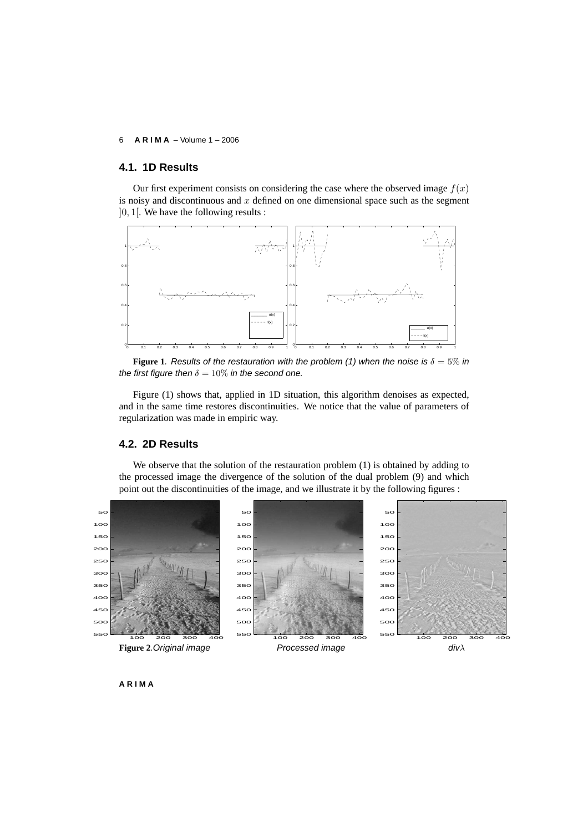#### **A R I M A** – Volume 1 – 2006

### **4.1. 1D Results**

Our first experiment consists on considering the case where the observed image  $f(x)$ is noisy and discontinuous and  $x$  defined on one dimensional space such as the segment ]0, 1[. We have the following results :



**Figure 1.** Results of the restauration with the problem (1) when the noise is  $\delta = 5\%$  in the first figure then  $\delta = 10\%$  in the second one.

Figure (1) shows that, applied in 1D situation, this algorithm denoises as expected, and in the same time restores discontinuities. We notice that the value of parameters of regularization was made in empiric way.

### **4.2. 2D Results**

We observe that the solution of the restauration problem (1) is obtained by adding to the processed image the divergence of the solution of the dual problem (9) and which point out the discontinuities of the image, and we illustrate it by the following figures :

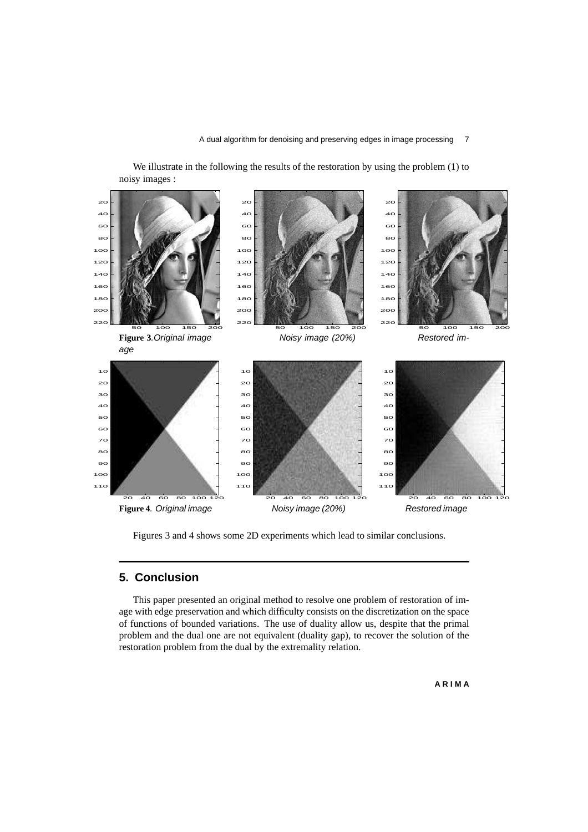We illustrate in the following the results of the restoration by using the problem (1) to noisy images :



Figures 3 and 4 shows some 2D experiments which lead to similar conclusions.

# **5. Conclusion**

This paper presented an original method to resolve one problem of restoration of image with edge preservation and which difficulty consists on the discretization on the space of functions of bounded variations. The use of duality allow us, despite that the primal problem and the dual one are not equivalent (duality gap), to recover the solution of the restoration problem from the dual by the extremality relation.